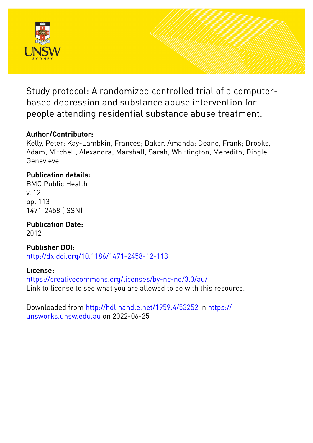

Study protocol: A randomized controlled trial of a computerbased depression and substance abuse intervention for people attending residential substance abuse treatment.

# **Author/Contributor:**

Kelly, Peter; Kay-Lambkin, Frances; Baker, Amanda; Deane, Frank; Brooks, Adam; Mitchell, Alexandra; Marshall, Sarah; Whittington, Meredith; Dingle, Genevieve

# **Publication details:**

BMC Public Health v. 12 pp. 113 1471-2458 (ISSN)

**Publication Date:** 2012

**Publisher DOI:** [http://dx.doi.org/10.1186/1471-2458-12-113](http://dx.doi.org/http://dx.doi.org/10.1186/1471-2458-12-113)

# **License:**

<https://creativecommons.org/licenses/by-nc-nd/3.0/au/> Link to license to see what you are allowed to do with this resource.

Downloaded from <http://hdl.handle.net/1959.4/53252> in [https://](https://unsworks.unsw.edu.au) [unsworks.unsw.edu.au](https://unsworks.unsw.edu.au) on 2022-06-25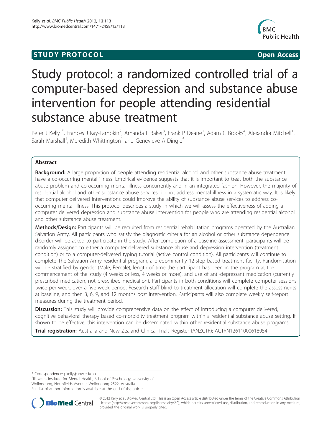# STUDY PROTOCOL Open Access



# Study protocol: a randomized controlled trial of a computer-based depression and substance abuse intervention for people attending residential substance abuse treatment

Peter J Kelly<sup>1\*</sup>, Frances J Kay-Lambkin<sup>2</sup>, Amanda L Baker<sup>3</sup>, Frank P Deane<sup>1</sup>, Adam C Brooks<sup>4</sup>, Alexandra Mitchell<sup>1</sup> , Sarah Marshall<sup>1</sup>, Meredith Whittington<sup>1</sup> and Genevieve A Dingle<sup>5</sup>

# Abstract

**Background:** A large proportion of people attending residential alcohol and other substance abuse treatment have a co-occurring mental illness. Empirical evidence suggests that it is important to treat both the substance abuse problem and co-occurring mental illness concurrently and in an integrated fashion. However, the majority of residential alcohol and other substance abuse services do not address mental illness in a systematic way. It is likely that computer delivered interventions could improve the ability of substance abuse services to address cooccurring mental illness. This protocol describes a study in which we will assess the effectiveness of adding a computer delivered depression and substance abuse intervention for people who are attending residential alcohol and other substance abuse treatment.

Methods/Design: Participants will be recruited from residential rehabilitation programs operated by the Australian Salvation Army. All participants who satisfy the diagnostic criteria for an alcohol or other substance dependence disorder will be asked to participate in the study. After completion of a baseline assessment, participants will be randomly assigned to either a computer delivered substance abuse and depression intervention (treatment condition) or to a computer-delivered typing tutorial (active control condition). All participants will continue to complete The Salvation Army residential program, a predominantly 12-step based treatment facility. Randomisation will be stratified by gender (Male, Female), length of time the participant has been in the program at the commencement of the study (4 weeks or less, 4 weeks or more), and use of anti-depressant medication (currently prescribed medication, not prescribed medication). Participants in both conditions will complete computer sessions twice per week, over a five-week period. Research staff blind to treatment allocation will complete the assessments at baseline, and then 3, 6, 9, and 12 months post intervention. Participants will also complete weekly self-report measures during the treatment period.

**Discussion:** This study will provide comprehensive data on the effect of introducing a computer delivered, cognitive behavioral therapy based co-morbidity treatment program within a residential substance abuse setting. If shown to be effective, this intervention can be disseminated within other residential substance abuse programs.

Trial registration: Australia and New Zealand Clinical Trials Register (ANZCTR): [ACTRN12611000618954](http://www.anzctr.org.au/ACTRN12611000618954.aspx)

\* Correspondence: [pkelly@uow.edu.au](mailto:pkelly@uow.edu.au)

<sup>1</sup>Illawarra Institute for Mental Health, School of Psychology, University of Wollongong, Northfields Avenue, Wollongong 2522, Australia Full list of author information is available at the end of the article



© 2012 Kelly et al; BioMed Central Ltd. This is an Open Access article distributed under the terms of the Creative Commons Attribution License [\(http://creativecommons.org/licenses/by/2.0](http://creativecommons.org/licenses/by/2.0)), which permits unrestricted use, distribution, and reproduction in any medium, provided the original work is properly cited.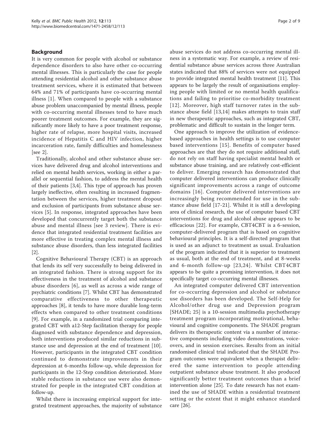## Background

It is very common for people with alcohol or substance dependence disorders to also have other co-occurring mental illnesses. This is particularly the case for people attending residential alcohol and other substance abuse treatment services, where it is estimated that between 64% and 71% of participants have co-occurring mental illness [\[1](#page-8-0)]. When compared to people with a substance abuse problem unaccompanied by mental illness, people with co-occurring mental illnesses tend to have much poorer treatment outcomes. For example, they are significantly more likely to have a poor treatment response, higher rate of relapse, more hospital visits, increased incidence of Hepatitis C and HIV infection, higher incarceration rate, family difficulties and homelessness [see 2].

Traditionally, alcohol and other substance abuse services have delivered drug and alcohol interventions and relied on mental health services, working in either a parallel or sequential fashion, to address the mental health of their patients [[3](#page-8-0),[4\]](#page-8-0). This type of approach has proven largely ineffective, often resulting in increased fragmentation between the services, higher treatment dropout and exclusion of participants from substance abuse services [[5\]](#page-8-0). In response, integrated approaches have been developed that concurrently target both the substance abuse and mental illness [see 3 review]. There is evidence that integrated residential treatment facilities are more effective in treating complex mental illness and substance abuse disorders, than less integrated facilities [[2\]](#page-8-0).

Cognitive Behavioural Therapy (CBT) is an approach that lends its self very successfully to being delivered in an integrated fashion. There is strong support for its effectiveness in the treatment of alcohol and substance abuse disorders [[6\]](#page-8-0), as well as across a wide range of psychiatric conditions [\[7](#page-8-0)]. Whilst CBT has demonstrated comparative effectiveness to other therapeutic approaches [\[8](#page-8-0)], it tends to have more durable long-term effects when compared to other treatment conditions [[9\]](#page-8-0). For example, in a randomized trial comparing integrated CBT with a12-Step facilitation therapy for people diagnosed with substance dependence and depression, both interventions produced similar reductions in substance use and depression at the end of treatment [\[10](#page-8-0)]. However, participants in the integrated CBT condition continued to demonstrate improvements in their depression at 6-months follow-up, while depression for participants in the 12-Step condition deteriorated. More stable reductions in substance use were also demonstrated for people in the integrated CBT condition at follow-up.

Whilst there is increasing empirical support for integrated treatment approaches, the majority of substance abuse services do not address co-occurring mental illness in a systematic way. For example, a review of residential substance abuse services across three Australian states indicated that 88% of services were not equipped to provide integrated mental health treatment [[11\]](#page-8-0). This appears to be largely the result of organisations employing people with limited or no mental health qualifications and failing to prioritise co-morbidity treatment [[12\]](#page-8-0). Moreover, high staff turnover rates in the substance abuse field [[13,14](#page-8-0)] makes attempts to train staff in new therapeutic approaches, such as integrated CBT, problematic and difficult to sustain in the longer term.

One approach to improve the utilization of evidencebased approaches in health settings is to use computer based interventions [[15](#page-8-0)]. Benefits of computer based approaches are that they do not require additional staff, do not rely on staff having specialist mental health or substance abuse training, and are relatively cost-efficient to deliver. Emerging research has demonstrated that computer delivered interventions can produce clinically significant improvements across a range of outcome domains [\[16](#page-8-0)]. Computer delivered interventions are increasingly being recommended for use in the substance abuse field [\[17](#page-8-0)-[21\]](#page-8-0). Whilst it is still a developing area of clinical research, the use of computer based CBT interventions for drug and alcohol abuse appears to be efficacious [[22\]](#page-9-0). For example, CBT4CBT is a 6-session, computer-delivered program that is based on cognitive behavioural principles. It is a self-directed program that is used as an adjunct to treatment as usual. Evaluation of the program indicated that it is superior to treatment as usual, both at the end of treatment, and at 8-weeks and 6-month follow-up [[23](#page-9-0),[24](#page-9-0)]. Whilst CBT4CBT appears to be quite a promising intervention, it does not specifically target co-occurring mental illnesses.

An integrated computer delivered CBT intervention for co-occurring depression and alcohol or substance use disorders has been developed. The Self-Help for Alcohol/other drug use and Depression program [SHADE; 25] is a 10-session multimedia psychotherapy treatment program incorporating motivational, behavioural and cognitive components. The SHADE program delivers its therapeutic content via a number of interactive components including video demonstrations, voiceovers, and in session exercises. Results from an initial randomised clinical trial indicated that the SHADE Program outcomes were equivalent when a therapist delivered the same intervention to people attending outpatient substance abuse treatment. It also produced significantly better treatment outcomes than a brief intervention alone [[25\]](#page-9-0). To date research has not examined the use of SHADE within a residential treatment setting or the extent that it might enhance standard care [[26\]](#page-9-0).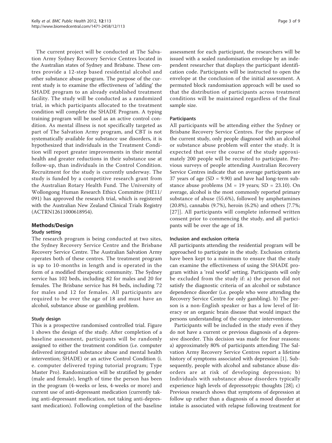The current project will be conducted at The Salvation Army Sydney Recovery Service Centres located in the Australian states of Sydney and Brisbane. These centres provide a 12-step based residential alcohol and other substance abuse program. The purpose of the current study is to examine the effectiveness of 'adding' the SHADE program to an already established treatment facility. The study will be conducted as a randomized trial, in which participants allocated to the treatment condition will complete the SHADE Program. A typing training program will be used as an active control condition. As mental illness is not specifically targeted as part of The Salvation Army program, and CBT is not systematically available for substance use disorders, it is hypothesized that individuals in the Treatment Condition will report greater improvements in their mental health and greater reductions in their substance use at follow-up, than individuals in the Control Condition. Recruitment for the study is currently underway. The study is funded by a competitive research grant from the Australian Rotary Health Fund. The University of Wollongong Human Research Ethics Committee (HE11/ 091) has approved the research trial, which is registered with the Australian New Zealand Clinical Trials Registry (ACTRN12611000618954).

## Methods/Design

#### Study setting

The research program is being conducted at two sites, the Sydney Recovery Service Centre and the Brisbane Recovery Service Centre. The Australian Salvation Army operates both of these centres. The treatment program is up to 10-months in length and is operated in the form of a modified therapeutic community. The Sydney service has 102 beds, including 82 for males and 20 for females. The Brisbane service has 84 beds, including 72 for males and 12 for females. All participants are required to be over the age of 18 and must have an alcohol, substance abuse or gambling problem.

## Study design

This is a prospective randomised controlled trial. Figure [1](#page-4-0) shows the design of the study. After completion of a baseline assessment, participants will be randomly assigned to either the treatment condition (i.e. computer delivered integrated substance abuse and mental health intervention; SHADE) or an active Control Condition (i. e. computer delivered typing tutorial program; Type Master Pro). Randomization will be stratified by gender (male and female), length of time the person has been in the program (4-weeks or less, 4-weeks or more) and current use of anti-depressant medication (currently taking anti-depressant medication, not taking anti-depressant medication). Following completion of the baseline assessment for each participant, the researchers will be issued with a sealed randomisation envelope by an independent researcher that displays the participant identification code. Participants will be instructed to open the envelope at the conclusion of the initial assessment. A permuted block randomisation approach will be used so that the distribution of participants across treatment conditions will be maintained regardless of the final sample size.

#### Participants

All participants will be attending either the Sydney or Brisbane Recovery Service Centres. For the purpose of the current study, only people diagnosed with an alcohol or substance abuse problem will enter the study. It is expected that over the course of the study approximately 200 people will be recruited to participate. Previous surveys of people attending Australian Recovery Service Centres indicate that on average participants are 37 years of age  $(SD = 9.90)$  and have had long-term substance abuse problems ( $M = 19$  years; SD = 23.10). On average, alcohol is the most commonly reported primary substance of abuse (55.6%), followed by amphetamines (20.8%), cannabis (9.7%), heroin (6.2%) and others [7.7%; [[27\]](#page-9-0)]. All participants will complete informed written consent prior to commencing the study, and all participants will be over the age of 18.

## Inclusion and exclusion criteria

All participants attending the residential program will be approached to participate in the study. Exclusion criteria have been kept to a minimum to ensure that the study can examine the effectiveness of using the SHADE program within a 'real world' setting. Participants will only be excluded from the study if: a) the person did not satisfy the diagnostic criteria of an alcohol or substance dependence disorder (i.e. people who were attending the Recovery Service Centre for only gambling). b) The person is a non-English speaker or has a low level of literacy or an organic brain disease that would impact the persons understanding of the computer interventions.

Participants will be included in the study even if they do not have a current or previous diagnosis of a depressive disorder. This decision was made for four reasons: a) approximately 80% of participants attending The Salvation Army Recovery Service Centres report a lifetime history of symptoms associated with depression [\[1](#page-8-0)]. Subsequently, people with alcohol and substance abuse disorders are at risk of developing depression; b) Individuals with substance abuse disorders typically experience high levels of depressotypic thoughts [\[28](#page-9-0)]; c) Previous research shows that symptoms of depression at follow up rather than a diagnosis of a mood disorder at intake is associated with relapse following treatment for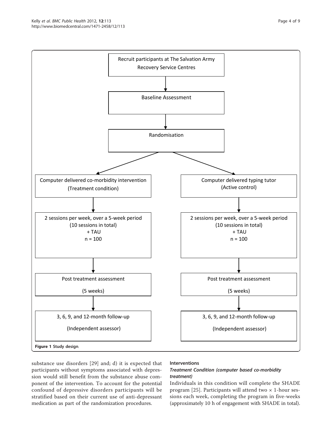<span id="page-4-0"></span>

substance use disorders [[29](#page-9-0)] and; d) it is expected that participants without symptoms associated with depression would still benefit from the substance abuse component of the intervention. To account for the potential confound of depressive disorders participants will be stratified based on their current use of anti-depressant medication as part of the randomization procedures.

## Interventions

## Treatment Condition (computer based co-morbidity treatment)

Individuals in this condition will complete the SHADE program [[25](#page-9-0)]. Participants will attend two  $\times$  1-hour sessions each week, completing the program in five-weeks (approximately 10 h of engagement with SHADE in total).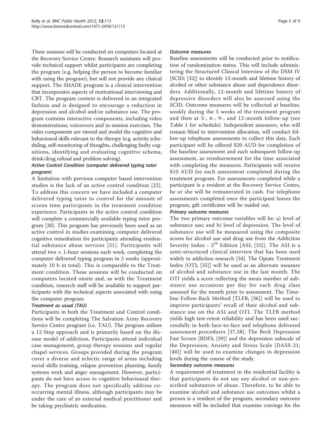These sessions will be conducted on computers located at the Recovery Service Centre. Research assistants will provide technical support whilst participants are completing the program (e.g. helping the person to become familiar with using the program), but will not provide any clinical support. The SHADE program is a clinical intervention that incorporates aspects of motivational interviewing and CBT. The program content is delivered in an integrated fashion and is designed to encourage a reduction in depression and alcohol and/or substance use. The program contains interactive components, including video demonstrations, voiceovers and in-session exercises. The video components are viewed and model the cognitive and behavioural skills relevant to the therapy (e.g. activity scheduling, self-monitoring of thoughts, challenging faulty cognitions, identifying and evaluating cognitive schema, drink/drug refusal and problem solving).

# Active Control Condition (computer delivered typing tutor program)

A limitation with previous computer based intervention studies is the lack of an active control condition [[22\]](#page-9-0). To address this concern we have included a computer delivered typing tutor to control for the amount of screen time participants in the treatment condition experience. Participants in the active control condition will complete a commercially available typing tutor program [\[30](#page-9-0)]. This program has previously been used as an active control in studies examining computer delivered cognitive remediation for participants attending residential substance abuse services [[31](#page-9-0)]. Participants will attend two  $\times$  1-hour sessions each week, completing the computer delivered typing program in 5 weeks (approximately 10 h in total). This is comparable to the Treatment condition. These sessions will be conducted on computers located onsite and, as with the Treatment condition, research staff will be available to support participants with the technical aspects associated with using the computer program.

# Treatment as usual (TAU)

Participants in both the Treatment and Control conditions will be completing The Salvation Army Recovery Service Centre program (i.e. TAU). The program utilises a 12-Step approach and is primarily based on the disease model of addiction. Participants attend individual case management, group therapy sessions and regular chapel services. Groups provided during the program cover a diverse and eclectic range of areas including social skills training, relapse prevention planning, family systems work and anger management. However, participants do not have access to cognitive behavioural therapy. The program does not specifically address cooccurring mental illness, although participants may be under the care of an external medical practitioner and be taking psychiatric medication.

## Outcome measures

Baseline assessments will be conducted prior to notification of randomization status. This will include administering the Structured Clinical Interview of the DSM IV [SCID; [[32](#page-9-0)]] to identify 12-month and lifetime history of alcohol or other substance abuse and dependence disorders. Additionally, 12-month and lifetime history of depressive disorders will also be assessed using the SCID. Outcome measures will be collected at baseline, weekly during the 5 weeks of the treatment program and then at 3-, 6-, 9-, and 12-month follow-up (see Table [1](#page-6-0) for schedule). Independent assessors, who will remain blind to intervention allocation, will conduct follow-up telephone assessments to collect this data. Each participant will be offered \$20 AUD for completion of the baseline assessment and each subsequent follow-up assessment, as reimbursement for the time associated with completing the measures. Participants will receive \$10 AUD for each assessment completed during the treatment program. For assessments completed while a participant is a resident at the Recovery Service Centre, he or she will be remunerated in cash. For telephone assessments completed once the participant leaves the program, gift certificates will be mailed out.

## Primary outcome measures

The two primary outcome variables will be: a) level of substance use; and b) level of depression. The level of substance use will be measured using the composite scores for alcohol use and drug use from the Addiction Severity Index -  $5<sup>th</sup>$  Edition [ASI; [\[33\]](#page-9-0)]. The ASI is a semi-structured clinical interview that has been used widely in addiction research [[34\]](#page-9-0). The Opiate Treatment Index [OTI; [\[35\]](#page-9-0)] will be used as an alternate measure of alcohol and substance use in the last month. The OTI yields a score reflecting the mean number of substance use occasions per day for each drug class assessed for the month prior to assessment. The Timeline Follow-Back Method [TLFB; [[36](#page-9-0)]] will be used to improve participants' recall of their alcohol and substance use on the ASI and OTI. The TLFB method yields high test-retest reliability and has been used successfully in both face-to-face and telephone delivered assessment procedures [[37,38](#page-9-0)]. The Beck Depression Fast Screen [BDFS; [[39\]](#page-9-0)] and the depression subscale of the Depression, Anxiety and Stress Scale [DASS-21; [[40\]](#page-9-0)] will be used to examine changes in depression levels during the course of the study.

## Secondary outcome measures

A requirement of treatment in the residential facility is that participants do not use any alcohol or non-prescribed substances of abuse. Therefore, to be able to examine alcohol and substance use outcomes whilst a person is a resident of the program, secondary outcome measures will be included that examine cravings for the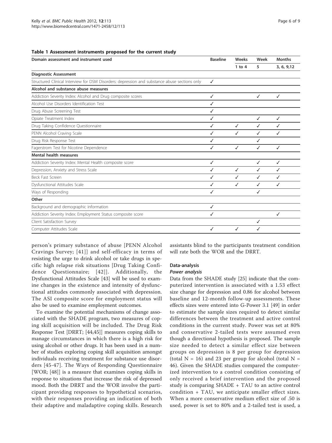| Domain assessment and instrument used                                                         | <b>Baseline</b> | Weeks<br>$1$ to $4$ | Week<br>5    | <b>Months</b><br>3, 6, 9, 12 |
|-----------------------------------------------------------------------------------------------|-----------------|---------------------|--------------|------------------------------|
|                                                                                               |                 |                     |              |                              |
| Structured Clinical Interview for DSM Disorders: depression and substance abuse sections only | ✓               |                     |              |                              |
| Alcohol and substance abuse measures                                                          |                 |                     |              |                              |
| Addiction Severity Index: Alcohol and Drug composite scores                                   | ✓               |                     | ✓            | ✓                            |
| Alcohol Use Disorders Identification Test                                                     | ✓               |                     |              |                              |
| Drug Abuse Screening Test                                                                     | ✓               |                     |              |                              |
| Opiate Treatment Index                                                                        | ✓               |                     | $\checkmark$ | $\checkmark$                 |
| Drug Taking Confidence Questionnaire                                                          | ✓               | $\checkmark$        | $\checkmark$ | $\checkmark$                 |
| PENN Alcohol Craving Scale                                                                    | ℐ               | ✓                   | ✓            | √                            |
| Drug Risk Response Test                                                                       | ✓               |                     | ✓            |                              |
| Fagerstrom Test for Nicotine Dependence                                                       | ✓               | ✓                   | ✓            | √                            |
| Mental health measures                                                                        |                 |                     |              |                              |
| Addiction Severity Index: Mental Health composite score                                       | ✓               |                     | ✓            | ✓                            |
| Depression, Anxiety and Stress Scale                                                          | ✓               | ✓                   | $\checkmark$ | ✓                            |
| Beck Fast Screen                                                                              | ✓               | ✓                   | $\checkmark$ | ✓                            |
| Dysfunctional Attitudes Scale                                                                 | ✓               | ✓                   | $\checkmark$ | ✓                            |
| Ways of Responding                                                                            | $\checkmark$    |                     | ✓            |                              |
| Other                                                                                         |                 |                     |              |                              |
| Background and demographic information                                                        | ✓               |                     |              |                              |
| Addiction Severity Index: Employment Status composite score                                   | ✓               |                     |              | ✓                            |
| Client Satisfaction Survey                                                                    |                 |                     | ✓            |                              |
| Computer Attitudes Scale                                                                      | ✓               | ✓                   | ✓            |                              |

#### <span id="page-6-0"></span>Table 1 Assessment instruments proposed for the current study

person's primary substance of abuse [PENN Alcohol Cravings Survey; [[41](#page-9-0)]] and self-efficacy in terms of resisting the urge to drink alcohol or take drugs in specific high relapse risk situations [Drug Taking Confidence Questionnaire; [[42](#page-9-0)]]. Additionally, the Dysfunctional Attitudes Scale [[43\]](#page-9-0) will be used to examine changes in the existence and intensity of dysfunctional attitudes commonly associated with depression. The ASI composite score for employment status will also be used to examine employment outcomes.

To examine the potential mechanisms of change associated with the SHADE program, two measures of coping skill acquisition will be included. The Drug Risk Response Test [DRRT; [\[44,45\]](#page-9-0)] measures coping skills to manage circumstances in which there is a high risk for using alcohol or other drugs. It has been used in a number of studies exploring coping skill acquisition amongst individuals receiving treatment for substance use disorders [[45](#page-9-0)-[47](#page-9-0)]. The Ways of Responding Questionnaire [WOR; [\[48](#page-9-0)]] is a measure that examines coping skills in response to situations that increase the risk of depressed mood. Both the DRRT and the WOR involve the participant providing responses to hypothetical scenarios, with their responses providing an indication of both their adaptive and maladaptive coping skills. Research

assistants blind to the participants treatment condition will rate both the WOR and the DRRT.

#### Data-analysis

#### Power analysis

Data from the SHADE study [\[25\]](#page-9-0) indicate that the computerized intervention is associated with a 1.53 effect size change for depression and 0.86 for alcohol between baseline and 12-month follow-up assessments. These effects sizes were entered into G-Power 3.1 [\[49\]](#page-9-0) in order to estimate the sample sizes required to detect similar differences between the treatment and active control conditions in the current study. Power was set at 80% and conservative 2-tailed tests were assumed even though a directional hypothesis is proposed. The sample size needed to detect a similar effect size between groups on depression is 8 per group for depression (total  $N = 16$ ) and 23 per group for alcohol (total  $N =$ 46). Given the SHADE studies compared the computerized intervention to a control condition consisting of only received a brief intervention and the proposed study is comparing SHADE + TAU to an active control condition + TAU, we anticipate smaller effect sizes. When a more conservative medium effect size of .50 is used, power is set to 80% and a 2-tailed test is used, a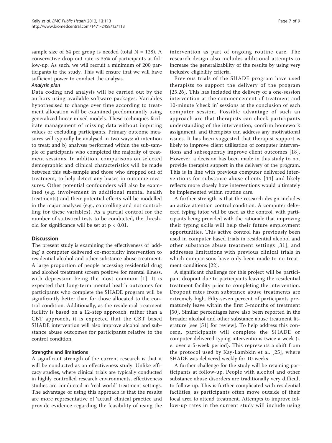sample size of 64 per group is needed (total  $N = 128$ ). A conservative drop out rate is 35% of participants at follow-up. As such, we will recruit a minimum of 200 participants to the study. This will ensure that we will have sufficient power to conduct the analysis.

#### Analysis plan

Data coding and analysis will be carried out by the authors using available software packages. Variables hypothesised to change over time according to treatment allocation will be examined predominantly using generalized linear mixed models. These techniques facilitate management of missing data without imputing values or excluding participants. Primary outcome measures will typically be analysed in two ways: a) intention to treat; and b) analyses performed within the sub-sample of participants who completed the majority of treatment sessions. In addition, comparisons on selected demographic and clinical characteristics will be made between this sub-sample and those who dropped out of treatment, to help detect any biases in outcome measures. Other potential confounders will also be examined (e.g. involvement in additional mental health treatments) and their potential effects will be modelled in the major analyses (e.g., controlling and not controlling for these variables). As a partial control for the number of statistical tests to be conducted, the threshold for significance will be set at  $p < 0.01$ .

## **Discussion**

The present study is examining the effectiveness of 'adding' a computer delivered co-morbidity intervention to residential alcohol and other substance abuse treatment. A large proportion of people accessing residential drug and alcohol treatment screen positive for mental illness, with depression being the most common [[1\]](#page-8-0). It is expected that long-term mental health outcomes for participants who complete the SHADE program will be significantly better than for those allocated to the control condition. Additionally, as the residential treatment facility is based on a 12-step approach, rather than a CBT approach, it is expected that the CBT based SHADE intervention will also improve alcohol and substance abuse outcomes for participants relative to the control condition.

#### Strengths and limitations

A significant strength of the current research is that it will be conducted as an effectiveness study. Unlike efficacy studies, where clinical trials are typically conducted in highly controlled research environments, effectiveness studies are conducted in 'real world' treatment settings. The advantage of using this approach is that the results are more representative of 'actual' clinical practice and provide evidence regarding the feasibility of using the intervention as part of ongoing routine care. The research design also includes additional attempts to increase the generalizability of the results by using very inclusive eligibility criteria.

Previous trials of the SHADE program have used therapists to support the delivery of the program [[25,26](#page-9-0)]. This has included the delivery of a one-session intervention at the commencement of treatment and 10-minute 'check in' sessions at the conclusion of each computer session. Possible advantage of such an approach are that therapists can check participants understanding of the intervention, confirm homework assignment, and therapists can address any motivational issues. It has been suggested that therapist support is likely to improve client utilisation of computer interventions and subsequently improve client outcomes [[18](#page-8-0)]. However, a decision has been made in this study to not provide therapist support in the delivery of the program. This is in line with previous computer delivered interventions for substance abuse clients [[44](#page-9-0)] and likely reflects more closely how interventions would ultimately be implemented within routine care.

A further strength is that the research design includes an active attention control condition. A computer delivered typing tutor will be used as the control, with participants being provided with the rationale that improving their typing skills will help their future employment opportunities. This active control has previously been used in computer based trials in residential alcohol and other substance abuse treatment settings [[31](#page-9-0)], and addresses limitations with previous clinical trials in which comparisons have only been made to no-treatment conditions [[22\]](#page-9-0).

A significant challenge for this project will be participant dropout due to participants leaving the residential treatment facility prior to completing the intervention. Dropout rates from substance abuse treatments are extremely high. Fifty-seven percent of participants prematurely leave within the first 3-months of treatment [[50\]](#page-9-0). Similar percentages have also been reported in the broader alcohol and other substance abuse treatment literature [see [[51](#page-9-0)] for review]. To help address this concern, participants will complete the SHADE or computer delivered typing interventions twice a week (i. e. over a 5-week period). This represents a shift from the protocol used by Kay-Lambkin et al. [[25\]](#page-9-0), where SHADE was delivered weekly for 10-weeks.

A further challenge for the study will be retaining participants at follow-up. People with alcohol and other substance abuse disorders are traditionally very difficult to follow-up. This is further complicated with residential facilities, as participants often move outside of their local area to attend treatment. Attempts to improve follow-up rates in the current study will include using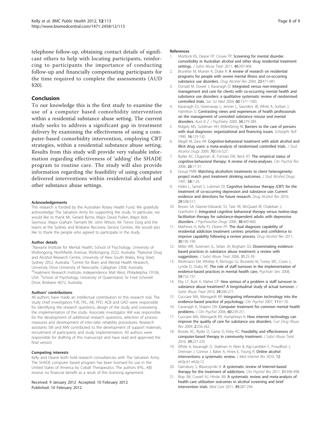<span id="page-8-0"></span>telephone follow-up, obtaining contact details of significant others to help with locating participants, reinforcing to participants the importance of conducting follow-up and financially compensating participants for the time required to complete the assessments (AUD \$20).

#### Conclusion

To our knowledge this is the first study to examine the use of a computer based comorbidity intervention within a residential substance abuse setting. The current study seeks to address a significant gap in treatment delivery by examining the effectiveness of using a computer-based comorbidity intervention, employing CBT strategies, within a residential substance abuse setting. Results from this study will provide very valuable information regarding effectiveness of 'adding' the SHADE program to routine care. The study will also provide information regarding the feasibility of using computer delivered interventions within residential alcohol and other substance abuse settings.

#### Acknowledgements

This research is funded by the Australian Rotary Health Fund. We gratefully acknowledge The Salvation Army for supporting the study. In particular, we would like to thank Mr. Gerard Byrne, Major David Pullen, Major Bob Seymour, Major Graham Tamsett Mr. John Wilson, Mr Trevor Doig and the teams at the Sydney and Brisbane Recovery Service Centres. We would also like to thank the people who agreed to participate in the study.

#### Author details

<sup>1</sup>Illawarra Institute for Mental Health, School of Psychology, University of Wollongong, Northfields Avenue, Wollongong 2522, Australia. <sup>2</sup>National Drug and Alcohol Research Centre, University of New South Wales, King Steet, Sydney 2052, Australia. <sup>3</sup>Centre for Brain and Mental Health Research, University Drive University of Newcastle, Callaghan 2308, Australia. 4 Treatment Research Institute, Independence Mall West, Philadelphia 19106, USA. <sup>5</sup>School of Psychology, University of Queensland, Sir Fred Schonell Drive, Brisbane 4072, Australia.

#### Authors' contributions

All authors have made an intellectual contribution to this research trial. The study chief investigators PJK, FKL, AB, FPD, ACB and GAD were responsible for identifying the research questions, design of the study and overseeing the implementation of the study. Associate investigator AM was responsible for the development of additional research questions, selection of process measures and development of inter-rater reliability procedures. Research assistants SM and MW contributed to the development of support materials, recruitment of participants and study implementation. All authors were responsible for drafting of this manuscript and have read and approved the final version.

#### Competing interests

Kelly and Deane both hold research consultancies with The Salvation Army. The SHADE computer based program has been licensed for use in the United States of America by Cobalt Therapeutics. The authors (FKL, AB) receive no financial benefit as a result of this licensing agreement.

Received: 9 January 2012 Accepted: 10 February 2012 Published: 10 February 2012

#### References

- 1. Mortlock KS, Deane FP, Crowe TP: [Screening for mental disorder](http://www.ncbi.nlm.nih.gov/pubmed/21353441?dopt=Abstract) [comorbidity in Australian alcohol and other drug residential treatment](http://www.ncbi.nlm.nih.gov/pubmed/21353441?dopt=Abstract) [settings.](http://www.ncbi.nlm.nih.gov/pubmed/21353441?dopt=Abstract) J Subst Abuse Treat 2011, 40:397-404.
- 2. Brunette M, Mueser K, Drake R: [A review of research on residential](http://www.ncbi.nlm.nih.gov/pubmed/15763752?dopt=Abstract) [programs for people with severe mental illness and co-occurring](http://www.ncbi.nlm.nih.gov/pubmed/15763752?dopt=Abstract) [substance use disorders.](http://www.ncbi.nlm.nih.gov/pubmed/15763752?dopt=Abstract) Drug Alcohol Rev 2004, 23:471-481.
- 3. Donald M, Dower J, Kavanagh D: Integrated versus non-integrated management and care for clients with co-occurring mental health and substance use disorders: a qualitative systematic review of randomised controlled trials. Soc Sci Med 2004, 60:1371-1383.
- 4. Kavanagh DJ, Greenaway L, Jenner L, Saunders JB, White A, Sorban J, Hamilton G: [Contrasting views and experiences of health professionals](http://www.ncbi.nlm.nih.gov/pubmed/10789533?dopt=Abstract) [on the management of comorbid substance misuse and mental](http://www.ncbi.nlm.nih.gov/pubmed/10789533?dopt=Abstract) [disorders.](http://www.ncbi.nlm.nih.gov/pubmed/10789533?dopt=Abstract) Aust N Z J Psychiatry 2000, 34:279-289.
- 5. Ridgely MS, Goldman HH, Willenbring M: [Barriers to the care of persons](http://www.ncbi.nlm.nih.gov/pubmed/2185535?dopt=Abstract) [with dual diagnoses: organizational and financing issues.](http://www.ncbi.nlm.nih.gov/pubmed/2185535?dopt=Abstract) Schizophr Bull 1990, 16:123-132.
- 6. Magill M, Zara AR: [Cognitive-behavioral treatment with adult alcohol and](http://www.ncbi.nlm.nih.gov/pubmed/19515291?dopt=Abstract) [illicit drug users: a meta-analysis of randomized controlled trials.](http://www.ncbi.nlm.nih.gov/pubmed/19515291?dopt=Abstract) *J Stud* Alcohol Drugs 2009, 70:516-527.
- 7. Butler AC, Chapman JE, Forman EW, Beck AT: [The empirical status of](http://www.ncbi.nlm.nih.gov/pubmed/16199119?dopt=Abstract) [cognitive-behavioral therapy: A review of meta-analyses.](http://www.ncbi.nlm.nih.gov/pubmed/16199119?dopt=Abstract) Clin Psychol Rev 2006, 26:17-31.
- 8. Group PMR: Matching alcoholism treatments to client heterogeneity: project match post treatment drinking outcomes. J Stud Alcohol Drugs 1997, 58:7-29.
- 9. Hides L, Samet S, Lubman DI: [Cognitive behaviour therapy \(CBT\) for the](http://www.ncbi.nlm.nih.gov/pubmed/20887574?dopt=Abstract) [treatment of co-occurring depression and substance use: Current](http://www.ncbi.nlm.nih.gov/pubmed/20887574?dopt=Abstract) [evidence and directions for future research.](http://www.ncbi.nlm.nih.gov/pubmed/20887574?dopt=Abstract) Drug Alcohol Rev 2010, 29:508-517.
- 10. Brown SA, Glasner-Edwards SV, Tate SR, McQuaid JR, Chalekian J, Granholm E: [Integrated cognitive behavioral therapy versus twelve-step](http://www.ncbi.nlm.nih.gov/pubmed/17373561?dopt=Abstract) [facilitation therapy for substance-dependent adults with depressive](http://www.ncbi.nlm.nih.gov/pubmed/17373561?dopt=Abstract) [disorders.](http://www.ncbi.nlm.nih.gov/pubmed/17373561?dopt=Abstract) J Psychoactive Drugs 2006, 38:449-460.
- 11. Mathews H, Kelly PJ, Deane FP: [The dual diagnosis capability of](http://www.ncbi.nlm.nih.gov/pubmed/21355921?dopt=Abstract) [residential addiction treatment centres: priorities and confidence to](http://www.ncbi.nlm.nih.gov/pubmed/21355921?dopt=Abstract) [improve capability following a review process.](http://www.ncbi.nlm.nih.gov/pubmed/21355921?dopt=Abstract) Drug Alcohol Rev 2011, 30:195-199.
- 12. Miller WR, Sorensen JL, Selzer JA, Brigham GS: [Disseminating evidence](http://www.ncbi.nlm.nih.gov/pubmed/16814008?dopt=Abstract)[based practices in substance abuse treatment: a review with](http://www.ncbi.nlm.nih.gov/pubmed/16814008?dopt=Abstract) [suggestions.](http://www.ncbi.nlm.nih.gov/pubmed/16814008?dopt=Abstract) J Subst Abuse Treat 2006, 31:25-39.
- 13. Woltmann EM, Whitley R, McHugo GJ, Brunette M, Torrey WC, Coots L, Lynde D, Drako RE: [The role of staff turnover in the implementation of](http://www.ncbi.nlm.nih.gov/pubmed/18586989?dopt=Abstract) [evidence-based practices in mental health care.](http://www.ncbi.nlm.nih.gov/pubmed/18586989?dopt=Abstract) Psychiatr Serv 2008, 59:732-737.
- 14. Eby LT, Burk H, Maher CP: How serious of a problem is staff turnover in substance abuse treatment? A longnitudinal study of actual turnover. J Subst Abuse Treat 2010, 39:246-271.
- 15. Cucciare MA, Weingardt KR: Integrating information technology into the evidence-based practice of psychology. Clin Psychol 2007, 11:61-70.
- 16. Cavanagh K, Shapiro DA: [Computer treatment for common mental health](http://www.ncbi.nlm.nih.gov/pubmed/14981789?dopt=Abstract) [problems.](http://www.ncbi.nlm.nih.gov/pubmed/14981789?dopt=Abstract) J Clin Psychol 2004, 60:239-251.
- 17. Cucciare MA, Weingardt KR, Humphreys K: [How internet technology can](http://www.ncbi.nlm.nih.gov/pubmed/20443772?dopt=Abstract) [improve the quality of care for substance use disorders.](http://www.ncbi.nlm.nih.gov/pubmed/20443772?dopt=Abstract) Curr Drug Abuse Rev 2009, 2:256-262.
- 18. Brooks AC, Ryder D, Carise D, Kirby KC: [Feasibility and effectiveness of](http://www.ncbi.nlm.nih.gov/pubmed/20667682?dopt=Abstract) [computer-based therapy in community treatment.](http://www.ncbi.nlm.nih.gov/pubmed/20667682?dopt=Abstract) J Subst Abuse Treat 2010, 39:227-235.
- 19. White A, Kavanagh D, Stallman H, Klein B, Kay-Lambkin F, Proudfoot J, Drennan J, Connor J, Baker A, Hines E, Young R: Online alcohol interventions: a systematic review. J Med Internet Res 2010, 12: e62p.61-e62p.12.
- 20. Gainsbury S, Blaszczynski A: [A systematic review of Internet-based](http://www.ncbi.nlm.nih.gov/pubmed/21146272?dopt=Abstract) [therapy for the treatment of addictions.](http://www.ncbi.nlm.nih.gov/pubmed/21146272?dopt=Abstract) Clin Psychol Rev 2011, 31:490-498.
- 21. Bray JW, Cowell AJ, Hinde JM: [A systematic review and meta-analysis of](http://www.ncbi.nlm.nih.gov/pubmed/21263359?dopt=Abstract) [health care utilization outcomes in alcohol screening and brief](http://www.ncbi.nlm.nih.gov/pubmed/21263359?dopt=Abstract) [intervention trials.](http://www.ncbi.nlm.nih.gov/pubmed/21263359?dopt=Abstract) Med Care 2011, 49:287-294.